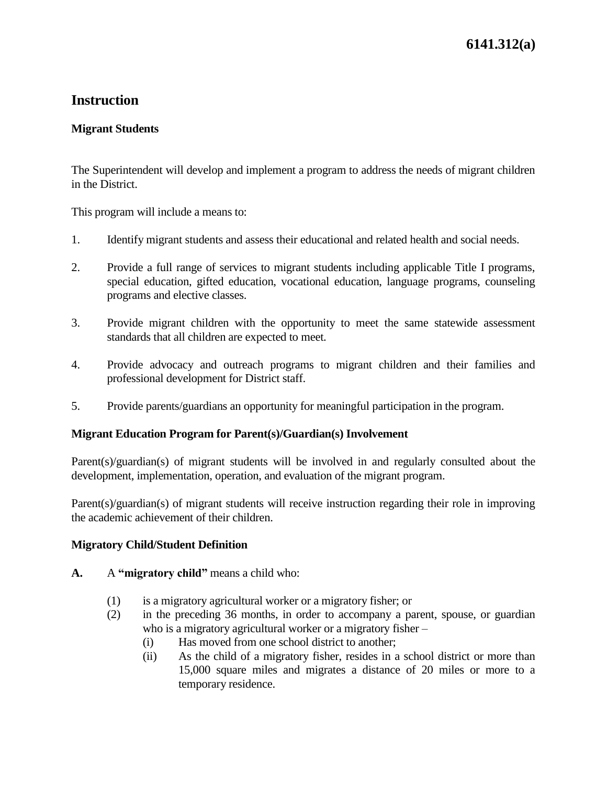# **Instruction**

## **Migrant Students**

The Superintendent will develop and implement a program to address the needs of migrant children in the District.

This program will include a means to:

- 1. Identify migrant students and assess their educational and related health and social needs.
- 2. Provide a full range of services to migrant students including applicable Title I programs, special education, gifted education, vocational education, language programs, counseling programs and elective classes.
- 3. Provide migrant children with the opportunity to meet the same statewide assessment standards that all children are expected to meet.
- 4. Provide advocacy and outreach programs to migrant children and their families and professional development for District staff.
- 5. Provide parents/guardians an opportunity for meaningful participation in the program.

#### **Migrant Education Program for Parent(s)/Guardian(s) Involvement**

Parent(s)/guardian(s) of migrant students will be involved in and regularly consulted about the development, implementation, operation, and evaluation of the migrant program.

Parent(s)/guardian(s) of migrant students will receive instruction regarding their role in improving the academic achievement of their children.

#### **Migratory Child/Student Definition**

#### **A.** A **"migratory child"** means a child who:

- (1) is a migratory agricultural worker or a migratory fisher; or
- (2) in the preceding 36 months, in order to accompany a parent, spouse, or guardian who is a migratory agricultural worker or a migratory fisher –
	- (i) Has moved from one school district to another;
	- (ii) As the child of a migratory fisher, resides in a school district or more than 15,000 square miles and migrates a distance of 20 miles or more to a temporary residence.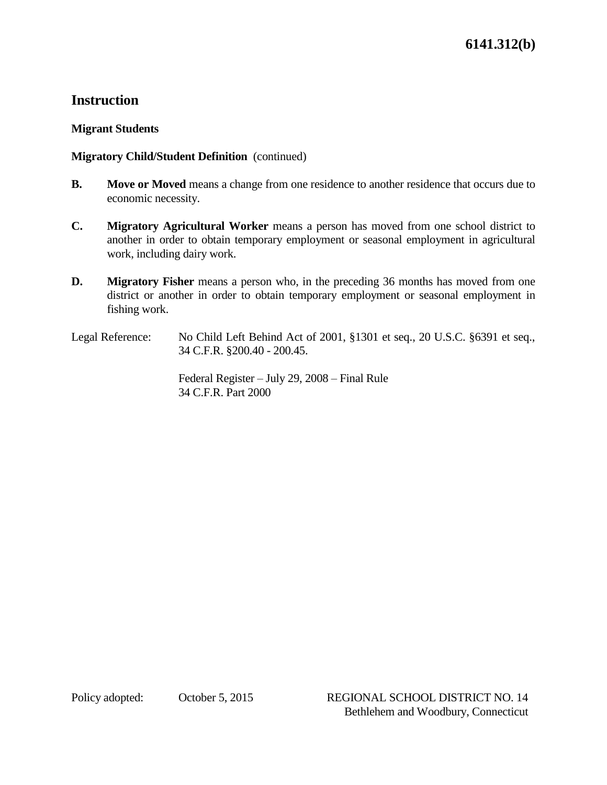# **Instruction**

## **Migrant Students**

## **Migratory Child/Student Definition** (continued)

- **B. Move or Moved** means a change from one residence to another residence that occurs due to economic necessity.
- **C. Migratory Agricultural Worker** means a person has moved from one school district to another in order to obtain temporary employment or seasonal employment in agricultural work, including dairy work.
- **D. Migratory Fisher** means a person who, in the preceding 36 months has moved from one district or another in order to obtain temporary employment or seasonal employment in fishing work.
- Legal Reference: No Child Left Behind Act of 2001, §1301 et seq., 20 U.S.C. §6391 et seq., 34 C.F.R. §200.40 - 200.45.

Federal Register – July 29, 2008 – Final Rule 34 C.F.R. Part 2000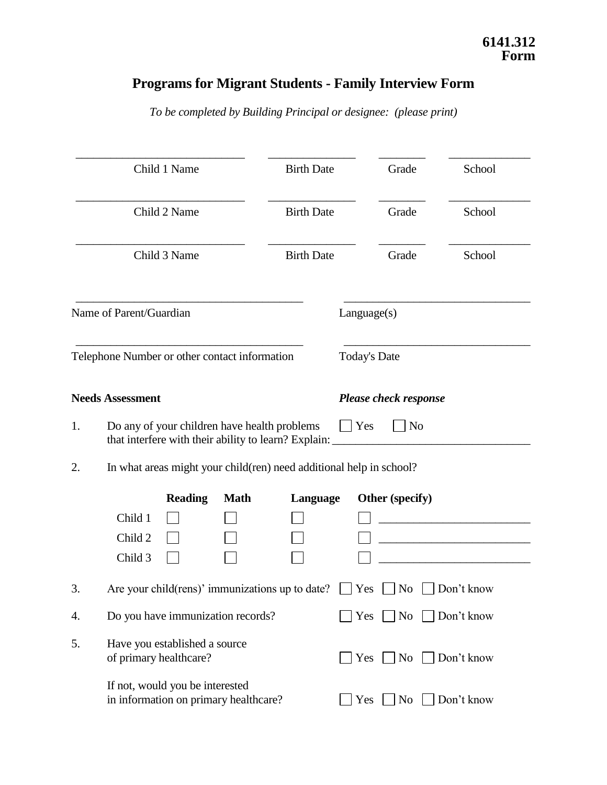# **Programs for Migrant Students - Family Interview Form**

*To be completed by Building Principal or designee: (please print)*

|    | Child 1 Name                                                                                         | <b>Birth Date</b> | Grade                              | School     |  |  |
|----|------------------------------------------------------------------------------------------------------|-------------------|------------------------------------|------------|--|--|
|    | Child 2 Name                                                                                         | <b>Birth Date</b> | Grade                              | School     |  |  |
|    | Child 3 Name                                                                                         | <b>Birth Date</b> | Grade                              | School     |  |  |
|    | Name of Parent/Guardian                                                                              |                   | Language(s)                        |            |  |  |
|    | Telephone Number or other contact information                                                        |                   | <b>Today's Date</b>                |            |  |  |
|    | <b>Needs Assessment</b>                                                                              |                   | <b>Please check response</b>       |            |  |  |
| 1. | Do any of your children have health problems<br>that interfere with their ability to learn? Explain: |                   | Yes<br>N <sub>o</sub>              |            |  |  |
| 2. | In what areas might your child(ren) need additional help in school?                                  |                   |                                    |            |  |  |
|    | <b>Reading</b><br><b>Math</b><br>Child 1<br>Child 2<br>Child 3                                       | Language          | Other (specify)                    |            |  |  |
| 3. | Are your child(rens)' immunizations up to date?                                                      |                   | Yes<br>N <sub>0</sub>              | Don't know |  |  |
| 4. | Do you have immunization records?                                                                    |                   | $\log$ No $\log$ Don't know<br>Yes |            |  |  |
| 5. | Have you established a source<br>of primary healthcare?                                              |                   | Yes<br>No                          | Don't know |  |  |
|    | If not, would you be interested<br>in information on primary healthcare?                             |                   | Yes<br>No                          | Don't know |  |  |